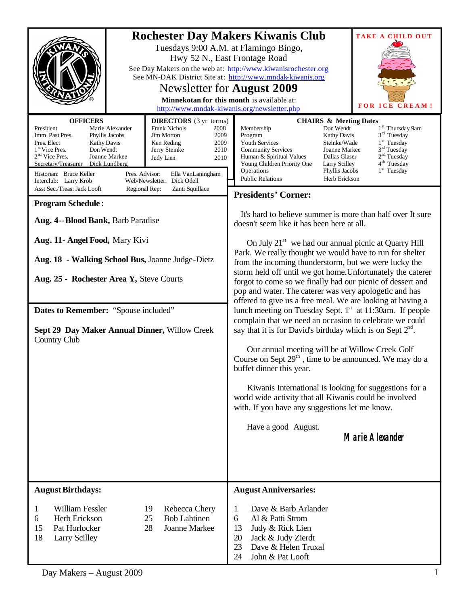|                                                                                                                                                                                                                                                                                                                                                                                                                                                                                                                                                                                                       | <b>Rochester Day Makers Kiwanis Club</b><br><b>TAKE A CHILD OUT</b><br>Tuesdays 9:00 A.M. at Flamingo Bingo,<br>Hwy 52 N., East Frontage Road<br>See Day Makers on the web at: http://www.kiwanisrochester.org<br>See MN-DAK District Site at: http://www.mndak-kiwanis.org<br>Newsletter for <b>August</b> 2009<br>Minnekotan for this month is available at:<br><b>FOR ICE CREAM!</b><br>http://www.mndak-kiwanis.org/newsletter.php                                                                           |
|-------------------------------------------------------------------------------------------------------------------------------------------------------------------------------------------------------------------------------------------------------------------------------------------------------------------------------------------------------------------------------------------------------------------------------------------------------------------------------------------------------------------------------------------------------------------------------------------------------|------------------------------------------------------------------------------------------------------------------------------------------------------------------------------------------------------------------------------------------------------------------------------------------------------------------------------------------------------------------------------------------------------------------------------------------------------------------------------------------------------------------|
| <b>OFFICERS</b><br><b>DIRECTORS</b> (3 yr terms)<br>President<br>Marie Alexander<br><b>Frank Nichols</b><br>2008<br>Imm. Past Pres.<br>Jim Morton<br>Phyllis Jacobs<br>2009<br>Pres. Elect<br>Ken Reding<br>2009<br><b>Kathy Davis</b><br>Don Wendt<br>1 <sup>st</sup> Vice Pres.<br>Jerry Steinke<br>2010<br>$2nd$ Vice Pres.<br>Joanne Markee<br>Judy Lien<br>2010<br>Secretary/Treasurer Dick Lundberg<br>Historian: Bruce Keller<br>Pres. Advisor:<br>Ella VanLaningham<br>Web/Newsletter: Dick Odell<br>Interclub: Larry Krob<br>Asst Sec./Treas: Jack Looft<br>Regional Rep:<br>Zanti Squillace | <b>CHAIRS &amp; Meeting Dates</b><br>1 <sup>st</sup> Thursday 9am<br>Membership<br>Don Wendt<br>$3rd$ Tuesday<br>Program<br><b>Kathy Davis</b><br>$1st$ Tuesday<br>Youth Services<br>Steinke/Wade<br>$3rd$ Tuesday<br><b>Community Services</b><br>Joanne Markee<br>2 <sup>nd</sup> Tuesday<br>Dallas Glaser<br>Human & Spiritual Values<br>4 <sup>th</sup> Tuesday<br>Young Children Priority One<br>Larry Scilley<br>$1st$ Tuesday<br>Operations<br>Phyllis Jacobs<br><b>Public Relations</b><br>Herb Erickson |
|                                                                                                                                                                                                                                                                                                                                                                                                                                                                                                                                                                                                       | <b>Presidents' Corner:</b>                                                                                                                                                                                                                                                                                                                                                                                                                                                                                       |
| <b>Program Schedule:</b><br>Aug. 4-- Blood Bank, Barb Paradise                                                                                                                                                                                                                                                                                                                                                                                                                                                                                                                                        | It's hard to believe summer is more than half over It sure<br>doesn't seem like it has been here at all.                                                                                                                                                                                                                                                                                                                                                                                                         |
| Aug. 11- Angel Food, Mary Kivi<br>Aug. 18 - Walking School Bus, Joanne Judge-Dietz                                                                                                                                                                                                                                                                                                                                                                                                                                                                                                                    | On July 21 <sup>st</sup> we had our annual picnic at Quarry Hill<br>Park. We really thought we would have to run for shelter<br>from the incoming thunderstorm, but we were lucky the<br>storm held off until we got home. Unfortunately the caterer                                                                                                                                                                                                                                                             |
| Aug. 25 - Rochester Area Y, Steve Courts                                                                                                                                                                                                                                                                                                                                                                                                                                                                                                                                                              | forgot to come so we finally had our picnic of dessert and<br>pop and water. The caterer was very apologetic and has<br>offered to give us a free meal. We are looking at having a                                                                                                                                                                                                                                                                                                                               |
| Dates to Remember: "Spouse included"                                                                                                                                                                                                                                                                                                                                                                                                                                                                                                                                                                  | lunch meeting on Tuesday Sept. 1 <sup>st</sup> at 11:30am. If people                                                                                                                                                                                                                                                                                                                                                                                                                                             |
| Sept 29 Day Maker Annual Dinner, Willow Creek<br>Country Club                                                                                                                                                                                                                                                                                                                                                                                                                                                                                                                                         | complain that we need an occasion to celebrate we could<br>say that it is for David's birthday which is on Sept $2nd$ .                                                                                                                                                                                                                                                                                                                                                                                          |
|                                                                                                                                                                                                                                                                                                                                                                                                                                                                                                                                                                                                       | Our annual meeting will be at Willow Creek Golf<br>Course on Sept $29th$ , time to be announced. We may do a<br>buffet dinner this year.                                                                                                                                                                                                                                                                                                                                                                         |
|                                                                                                                                                                                                                                                                                                                                                                                                                                                                                                                                                                                                       | Kiwanis International is looking for suggestions for a<br>world wide activity that all Kiwanis could be involved<br>with. If you have any suggestions let me know.                                                                                                                                                                                                                                                                                                                                               |
|                                                                                                                                                                                                                                                                                                                                                                                                                                                                                                                                                                                                       | Have a good August.<br><b>Marie Alexander</b>                                                                                                                                                                                                                                                                                                                                                                                                                                                                    |
|                                                                                                                                                                                                                                                                                                                                                                                                                                                                                                                                                                                                       |                                                                                                                                                                                                                                                                                                                                                                                                                                                                                                                  |
| <b>August Birthdays:</b>                                                                                                                                                                                                                                                                                                                                                                                                                                                                                                                                                                              | <b>August Anniversaries:</b>                                                                                                                                                                                                                                                                                                                                                                                                                                                                                     |
| William Fessler<br>19<br>Rebecca Chery<br>1<br>Herb Erickson<br><b>Bob Lahtinen</b><br>6<br>25<br>15<br>Joanne Markee<br>Pat Horlocker<br>28<br>18<br><b>Larry Scilley</b>                                                                                                                                                                                                                                                                                                                                                                                                                            | Dave & Barb Arlander<br>1<br>Al & Patti Strom<br>6<br>Judy & Rick Lien<br>13<br>20<br>Jack & Judy Zierdt<br>Dave & Helen Truxal<br>23<br>24<br>John & Pat Looft                                                                                                                                                                                                                                                                                                                                                  |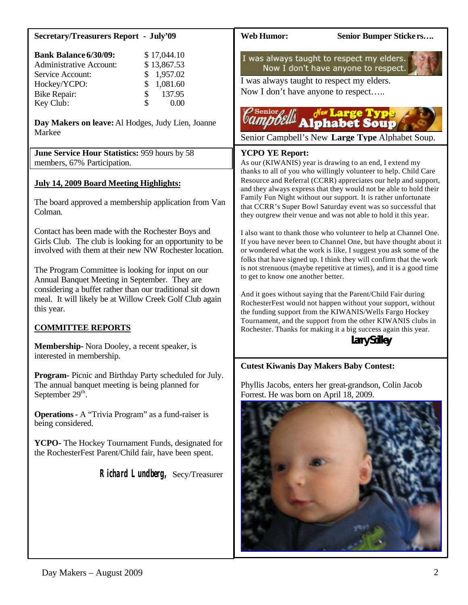| <b>Secretary/Treasurers Report - July'09</b>                                                                                                                                                                                                                                                | <b>Web Humor:</b><br>Senior Bumper Stickers                                                                                                                                                                                                                                                                                              |
|---------------------------------------------------------------------------------------------------------------------------------------------------------------------------------------------------------------------------------------------------------------------------------------------|------------------------------------------------------------------------------------------------------------------------------------------------------------------------------------------------------------------------------------------------------------------------------------------------------------------------------------------|
| <b>Bank Balance 6/30/09:</b><br>\$17,044.10<br><b>Administrative Account:</b><br>\$13,867.53<br>\$<br>1,957.02<br>Service Account:<br>\$<br>1,081.60<br>Hockey/YCPO:<br>\$<br>137.95<br><b>Bike Repair:</b><br>\$<br>Key Club:<br>0.00<br>Day Makers on leave: Al Hodges, Judy Lien, Joanne | I was always taught to respect my elders.<br>Now I don't have anyone to respect.<br>I was always taught to respect my elders.<br>Now I don't have anyone to respect<br>Senior <sub>0</sub><br><b><i>de Large Type</i></b><br>Alphabet Soup                                                                                               |
| Markee                                                                                                                                                                                                                                                                                      | Senior Campbell's New Large Type Alphabet Soup.                                                                                                                                                                                                                                                                                          |
| June Service Hour Statistics: 959 hours by 58<br>members, 67% Participation.                                                                                                                                                                                                                | <b>YCPO YE Report:</b><br>As our (KIWANIS) year is drawing to an end, I extend my<br>thanks to all of you who willingly volunteer to help. Child Care                                                                                                                                                                                    |
| <b>July 14, 2009 Board Meeting Highlights:</b><br>The board approved a membership application from Van<br>Colman.                                                                                                                                                                           | Resource and Referral (CCRR) appreciates our help and support,<br>and they always express that they would not be able to hold their<br>Family Fun Night without our support. It is rather unfortunate<br>that CCRR's Super Bowl Saturday event was so successful that<br>they outgrew their venue and was not able to hold it this year. |
| Contact has been made with the Rochester Boys and<br>Girls Club. The club is looking for an opportunity to be<br>involved with them at their new NW Rochester location.                                                                                                                     | I also want to thank those who volunteer to help at Channel One.<br>If you have never been to Channel One, but have thought about it<br>or wondered what the work is like, I suggest you ask some of the<br>folks that have signed up. I think they will confirm that the work                                                           |
| The Program Committee is looking for input on our<br>Annual Banquet Meeting in September. They are<br>considering a buffet rather than our traditional sit down<br>meal. It will likely be at Willow Creek Golf Club again<br>this year.                                                    | is not strenuous (maybe repetitive at times), and it is a good time<br>to get to know one another better.<br>And it goes without saying that the Parent/Child Fair during<br>RochesterFest would not happen without your support, without<br>the funding support from the KIWANIS/Wells Fargo Hockey                                     |
| <b>COMMITTEE REPORTS</b>                                                                                                                                                                                                                                                                    | Tournament, and the support from the other KIWANIS clubs in<br>Rochester. Thanks for making it a big success again this year.                                                                                                                                                                                                            |
| Membership-Nora Dooley, a recent speaker, is<br>interested in membership.                                                                                                                                                                                                                   | <b>Larry Scilley</b>                                                                                                                                                                                                                                                                                                                     |
|                                                                                                                                                                                                                                                                                             | <b>Cutest Kiwanis Day Makers Baby Contest:</b>                                                                                                                                                                                                                                                                                           |
| Program- Picnic and Birthday Party scheduled for July.<br>The annual banquet meeting is being planned for<br>September 29 <sup>th</sup> .                                                                                                                                                   | Phyllis Jacobs, enters her great-grandson, Colin Jacob<br>Forrest. He was born on April 18, 2009.                                                                                                                                                                                                                                        |
| <b>Operations - A "Trivia Program"</b> as a fund-raiser is<br>being considered.                                                                                                                                                                                                             |                                                                                                                                                                                                                                                                                                                                          |
| YCPO- The Hockey Tournament Funds, designated for<br>the RochesterFest Parent/Child fair, have been spent.                                                                                                                                                                                  |                                                                                                                                                                                                                                                                                                                                          |
| Richard Lundberg, Secy/Treasurer                                                                                                                                                                                                                                                            |                                                                                                                                                                                                                                                                                                                                          |

- 7

**JAGUES**